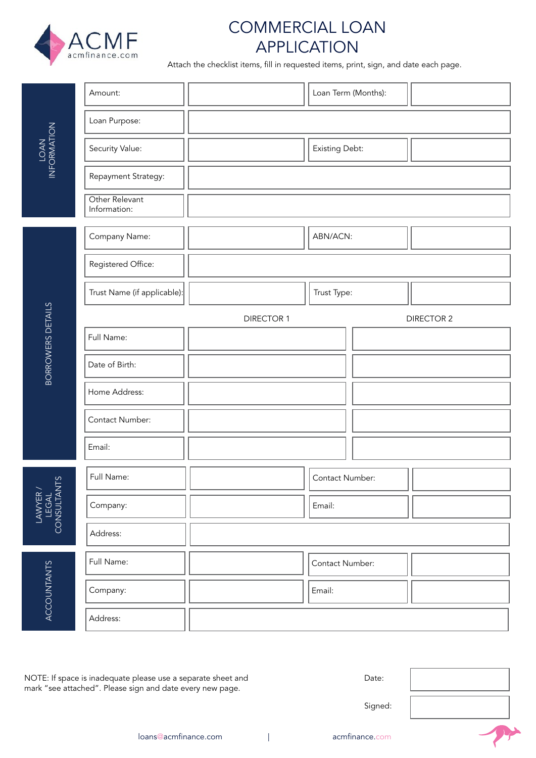

# COMMERCIAL LOAN APPLICATION

Attach the checklist items, fill in requested items, print, sign, and date each page.

| INFORMATION                      | Amount:                        |                   | Loan Term (Months): |  |  |  |
|----------------------------------|--------------------------------|-------------------|---------------------|--|--|--|
|                                  | Loan Purpose:                  |                   |                     |  |  |  |
|                                  | Security Value:                |                   | Existing Debt:      |  |  |  |
|                                  | Repayment Strategy:            |                   |                     |  |  |  |
|                                  | Other Relevant<br>Information: |                   |                     |  |  |  |
|                                  | Company Name:                  |                   | ABN/ACN:            |  |  |  |
|                                  | Registered Office:             |                   |                     |  |  |  |
|                                  | Trust Name (if applicable):    |                   | Trust Type:         |  |  |  |
|                                  |                                | <b>DIRECTOR 1</b> | <b>DIRECTOR 2</b>   |  |  |  |
|                                  | Full Name:                     |                   |                     |  |  |  |
| <b>BORROWERS DETAILS</b>         | Date of Birth:                 |                   |                     |  |  |  |
|                                  | Home Address:                  |                   |                     |  |  |  |
|                                  | Contact Number:                |                   |                     |  |  |  |
|                                  | Email:                         |                   |                     |  |  |  |
| $\circ$                          | Full Name:                     |                   | Contact Number:     |  |  |  |
| LAWYER /<br>LEGAL<br>CONSULTANTS | Company:                       |                   | Email:              |  |  |  |
|                                  | Address:                       |                   |                     |  |  |  |
| <b>ACCOUNTANTS</b>               | Full Name:                     |                   | Contact Number:     |  |  |  |
|                                  | Company:                       |                   | Email:              |  |  |  |
|                                  | Address:                       |                   |                     |  |  |  |

NOTE: If space is inadequate please use a separate sheet and mark "see attached". Please sign and date every new page.

Signed:

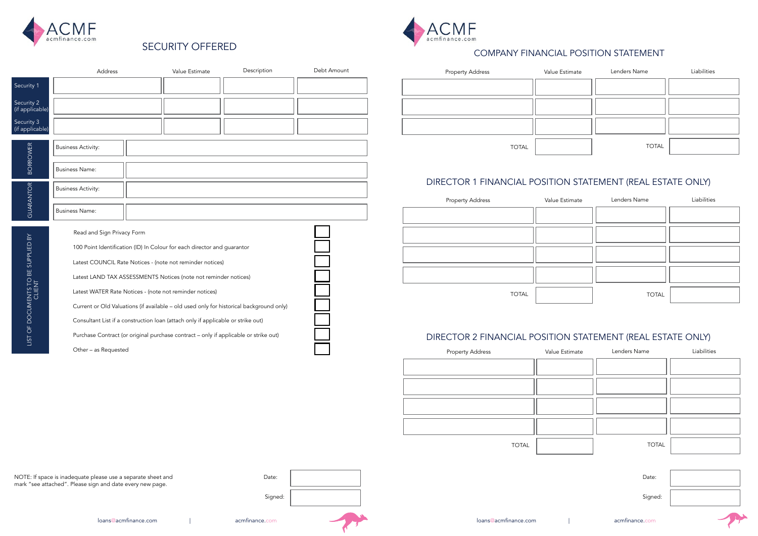

 $\int$  (if

 $\int$  (if







# SECURITY OFFERED



|                                                                                                                                    | Address                                                                                                                                                                     |                                                                                      | Value Estimate | Description | Debt Amount |       | <b>Property Address</b>                                                | Value Estimate | Lenders Name | Liabilities |  |
|------------------------------------------------------------------------------------------------------------------------------------|-----------------------------------------------------------------------------------------------------------------------------------------------------------------------------|--------------------------------------------------------------------------------------|----------------|-------------|-------------|-------|------------------------------------------------------------------------|----------------|--------------|-------------|--|
| Security 1                                                                                                                         |                                                                                                                                                                             |                                                                                      |                |             |             |       |                                                                        |                |              |             |  |
| Security 2<br>(if applicable)                                                                                                      |                                                                                                                                                                             |                                                                                      |                |             |             |       |                                                                        |                |              |             |  |
| Security 3<br>(if applicable)                                                                                                      |                                                                                                                                                                             |                                                                                      |                |             |             |       |                                                                        |                |              |             |  |
| <b>BORROWER</b>                                                                                                                    | <b>Business Activity:</b>                                                                                                                                                   |                                                                                      |                |             |             |       | <b>TOTAL</b>                                                           |                | <b>TOTAL</b> |             |  |
|                                                                                                                                    | <b>Business Name:</b>                                                                                                                                                       |                                                                                      |                |             |             |       | DIRECTOR 1 FINANCIAL POSITION STATEMENT (REAL ESTATE ONLY)             |                |              |             |  |
| GUARANTOR                                                                                                                          | <b>Business Activity:</b>                                                                                                                                                   |                                                                                      |                |             |             |       | <b>Property Address</b>                                                | Value Estimate | Lenders Name | Liabilities |  |
|                                                                                                                                    | Business Name:                                                                                                                                                              |                                                                                      |                |             |             |       |                                                                        |                |              |             |  |
| $\mathbb{B}\mathsf{Y}$                                                                                                             | Read and Sign Privacy Form                                                                                                                                                  |                                                                                      |                |             |             |       |                                                                        |                |              |             |  |
| SUPPLIED                                                                                                                           | 100 Point Identification (ID) In Colour for each director and guarantor<br>Latest COUNCIL Rate Notices - (note not reminder notices)                                        |                                                                                      |                |             |             |       |                                                                        |                |              |             |  |
|                                                                                                                                    | Latest LAND TAX ASSESSMENTS Notices (note not reminder notices)                                                                                                             |                                                                                      |                |             |             |       |                                                                        |                |              |             |  |
|                                                                                                                                    | Latest WATER Rate Notices - (note not reminder notices)                                                                                                                     |                                                                                      |                |             |             |       | <b>TOTAL</b>                                                           |                | <b>TOTAL</b> |             |  |
| DOCUMENTS TO BE<br>CLIENT                                                                                                          | Current or Old Valuations (if available - old used only for historical background only)<br>Consultant List if a construction loan (attach only if applicable or strike out) |                                                                                      |                |             |             |       |                                                                        |                |              |             |  |
| $\overline{O}$<br>LIST                                                                                                             |                                                                                                                                                                             | Purchase Contract (or original purchase contract - only if applicable or strike out) |                |             |             |       | DIRECTOR 2 FINANCIAL POSITION STATEMENT (REAL ESTATE ONLY)             |                |              |             |  |
|                                                                                                                                    | Other - as Requested                                                                                                                                                        |                                                                                      |                |             |             |       | Property Address The Manuel Collumn Value Estimate Change Lenders Name |                |              | Liabilities |  |
|                                                                                                                                    |                                                                                                                                                                             |                                                                                      |                |             |             |       |                                                                        |                |              |             |  |
|                                                                                                                                    |                                                                                                                                                                             |                                                                                      |                |             |             |       |                                                                        |                |              |             |  |
|                                                                                                                                    |                                                                                                                                                                             |                                                                                      |                |             |             |       |                                                                        |                |              |             |  |
|                                                                                                                                    |                                                                                                                                                                             |                                                                                      |                |             |             |       |                                                                        |                |              |             |  |
|                                                                                                                                    |                                                                                                                                                                             |                                                                                      |                |             |             |       | <b>TOTAL</b>                                                           |                | <b>TOTAL</b> |             |  |
|                                                                                                                                    |                                                                                                                                                                             |                                                                                      |                |             |             |       |                                                                        |                |              |             |  |
| NOTE: If space is inadequate please use a separate sheet and<br>mark "see attached". Please sign and date every new page.<br>Date: |                                                                                                                                                                             |                                                                                      |                |             |             | Date: |                                                                        |                |              |             |  |
|                                                                                                                                    |                                                                                                                                                                             |                                                                                      |                | Signed:     |             |       |                                                                        |                | Signed:      |             |  |

### COMPANY FINANCIAL POSITION STATEMENT